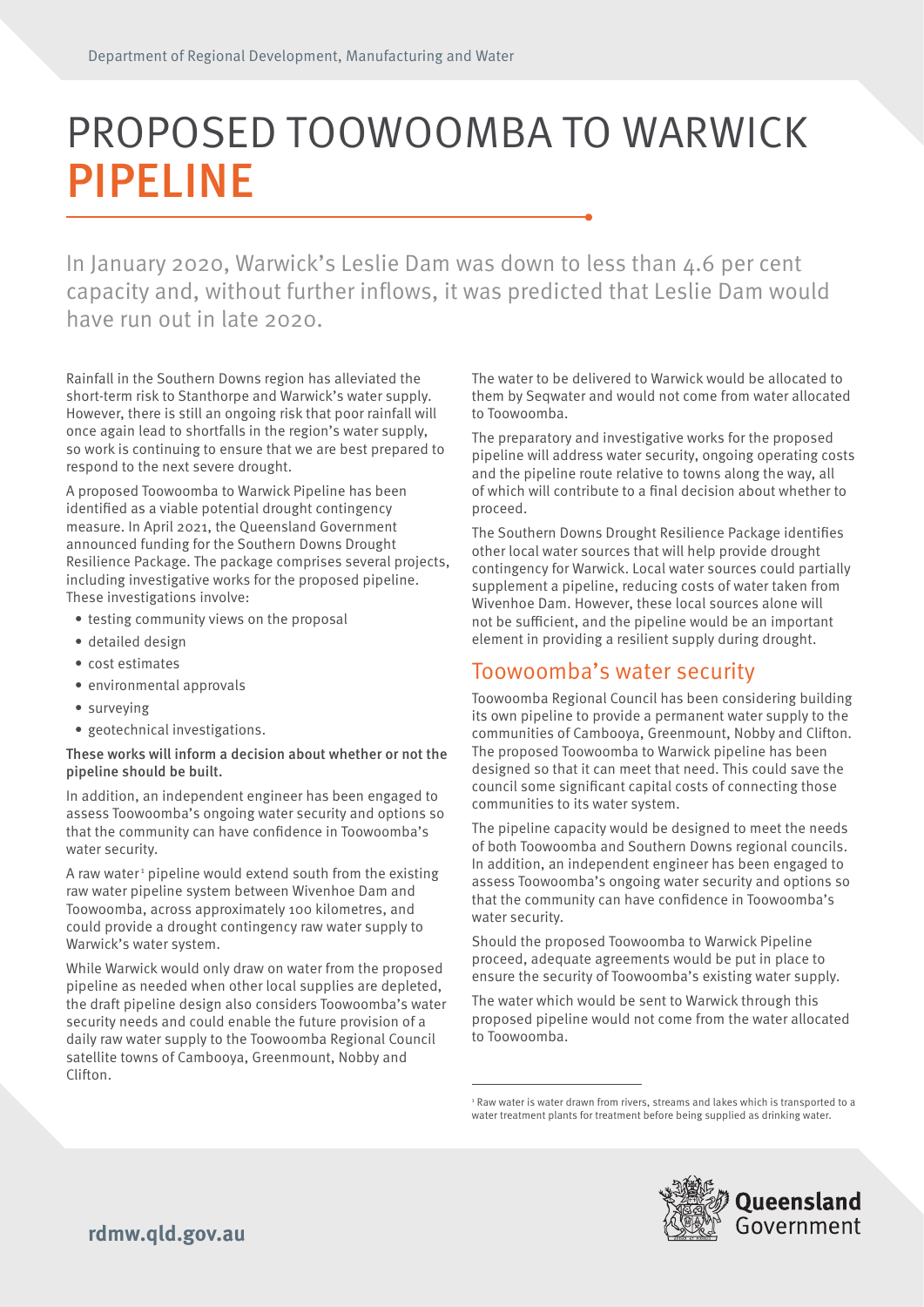# PROPOSED TOOWOOMBA TO WARWICK PIPELINE

In January 2020, Warwick's Leslie Dam was down to less than 4.6 per cent capacity and, without further inflows, it was predicted that Leslie Dam would have run out in late 2020.

Rainfall in the Southern Downs region has alleviated the short-term risk to Stanthorpe and Warwick's water supply. However, there is still an ongoing risk that poor rainfall will once again lead to shortfalls in the region's water supply, so work is continuing to ensure that we are best prepared to respond to the next severe drought.

A proposed Toowoomba to Warwick Pipeline has been identified as a viable potential drought contingency measure. In April 2021, the Queensland Government announced funding for the Southern Downs Drought Resilience Package. The package comprises several projects, including investigative works for the proposed pipeline. These investigations involve:

- testing community views on the proposal
- detailed design
- cost estimates
- environmental approvals
- surveying
- geotechnical investigations.

#### These works will inform a decision about whether or not the pipeline should be built.

In addition, an independent engineer has been engaged to assess Toowoomba's ongoing water security and options so that the community can have confidence in Toowoomba's water security.

A raw water<sup>1</sup> pipeline would extend south from the existing raw water pipeline system between Wivenhoe Dam and Toowoomba, across approximately 100 kilometres, and could provide a drought contingency raw water supply to Warwick's water system.

While Warwick would only draw on water from the proposed pipeline as needed when other local supplies are depleted, the draft pipeline design also considers Toowoomba's water security needs and could enable the future provision of a daily raw water supply to the Toowoomba Regional Council satellite towns of Cambooya, Greenmount, Nobby and Clifton.

The water to be delivered to Warwick would be allocated to them by Seqwater and would not come from water allocated to Toowoomba.

The preparatory and investigative works for the proposed pipeline will address water security, ongoing operating costs and the pipeline route relative to towns along the way, all of which will contribute to a final decision about whether to proceed.

The Southern Downs Drought Resilience Package identifies other local water sources that will help provide drought contingency for Warwick. Local water sources could partially supplement a pipeline, reducing costs of water taken from Wivenhoe Dam. However, these local sources alone will not be sufficient, and the pipeline would be an important element in providing a resilient supply during drought.

### Toowoomba's water security

Toowoomba Regional Council has been considering building its own pipeline to provide a permanent water supply to the communities of Cambooya, Greenmount, Nobby and Clifton. The proposed Toowoomba to Warwick pipeline has been designed so that it can meet that need. This could save the council some significant capital costs of connecting those communities to its water system.

The pipeline capacity would be designed to meet the needs of both Toowoomba and Southern Downs regional councils. In addition, an independent engineer has been engaged to assess Toowoomba's ongoing water security and options so that the community can have confidence in Toowoomba's water security.

Should the proposed Toowoomba to Warwick Pipeline proceed, adequate agreements would be put in place to ensure the security of Toowoomba's existing water supply.

The water which would be sent to Warwick through this proposed pipeline would not come from the water allocated to Toowoomba.

<sup>&</sup>lt;sup>1</sup> Raw water is water drawn from rivers, streams and lakes which is transported to a water treatment plants for treatment before being supplied as drinking water.